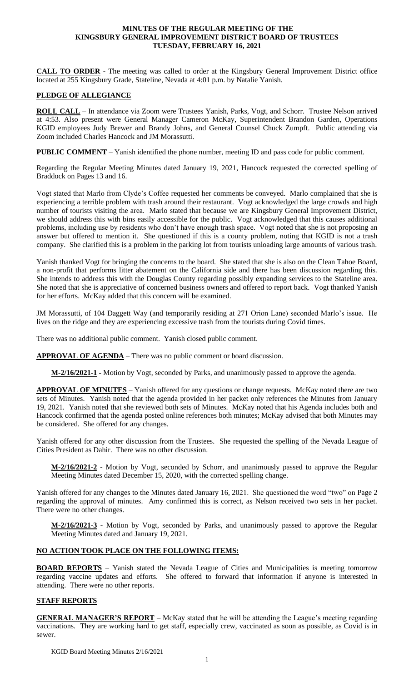#### **MINUTES OF THE REGULAR MEETING OF THE KINGSBURY GENERAL IMPROVEMENT DISTRICT BOARD OF TRUSTEES TUESDAY, FEBRUARY 16, 2021**

**CALL TO ORDER -** The meeting was called to order at the Kingsbury General Improvement District office located at 255 Kingsbury Grade, Stateline, Nevada at 4:01 p.m. by Natalie Yanish.

# **PLEDGE OF ALLEGIANCE**

**ROLL CALL** – In attendance via Zoom were Trustees Yanish, Parks, Vogt, and Schorr. Trustee Nelson arrived at 4:53. Also present were General Manager Cameron McKay, Superintendent Brandon Garden, Operations KGID employees Judy Brewer and Brandy Johns, and General Counsel Chuck Zumpft. Public attending via Zoom included Charles Hancock and JM Morassutti.

**PUBLIC COMMENT** – Yanish identified the phone number, meeting ID and pass code for public comment.

Regarding the Regular Meeting Minutes dated January 19, 2021, Hancock requested the corrected spelling of Braddock on Pages 13 and 16.

Vogt stated that Marlo from Clyde's Coffee requested her comments be conveyed. Marlo complained that she is experiencing a terrible problem with trash around their restaurant. Vogt acknowledged the large crowds and high number of tourists visiting the area. Marlo stated that because we are Kingsbury General Improvement District, we should address this with bins easily accessible for the public. Vogt acknowledged that this causes additional problems, including use by residents who don't have enough trash space. Vogt noted that she is not proposing an answer but offered to mention it. She questioned if this is a county problem, noting that KGID is not a trash company. She clarified this is a problem in the parking lot from tourists unloading large amounts of various trash.

Yanish thanked Vogt for bringing the concerns to the board. She stated that she is also on the Clean Tahoe Board, a non-profit that performs litter abatement on the California side and there has been discussion regarding this. She intends to address this with the Douglas County regarding possibly expanding services to the Stateline area. She noted that she is appreciative of concerned business owners and offered to report back. Vogt thanked Yanish for her efforts. McKay added that this concern will be examined.

JM Morassutti, of 104 Daggett Way (and temporarily residing at 271 Orion Lane) seconded Marlo's issue. He lives on the ridge and they are experiencing excessive trash from the tourists during Covid times.

There was no additional public comment. Yanish closed public comment.

**APPROVAL OF AGENDA** – There was no public comment or board discussion.

**M-2/16/2021-1 -** Motion by Vogt, seconded by Parks, and unanimously passed to approve the agenda.

**APPROVAL OF MINUTES** – Yanish offered for any questions or change requests. McKay noted there are two sets of Minutes. Yanish noted that the agenda provided in her packet only references the Minutes from January 19, 2021. Yanish noted that she reviewed both sets of Minutes. McKay noted that his Agenda includes both and Hancock confirmed that the agenda posted online references both minutes; McKay advised that both Minutes may be considered. She offered for any changes.

Yanish offered for any other discussion from the Trustees. She requested the spelling of the Nevada League of Cities President as Dahir. There was no other discussion.

**M-2/16/2021-2 -** Motion by Vogt, seconded by Schorr, and unanimously passed to approve the Regular Meeting Minutes dated December 15, 2020, with the corrected spelling change.

Yanish offered for any changes to the Minutes dated January 16, 2021. She questioned the word "two" on Page 2 regarding the approval of minutes. Amy confirmed this is correct, as Nelson received two sets in her packet. There were no other changes.

**M-2/16/2021-3 -** Motion by Vogt, seconded by Parks, and unanimously passed to approve the Regular Meeting Minutes dated and January 19, 2021.

#### **NO ACTION TOOK PLACE ON THE FOLLOWING ITEMS:**

**BOARD REPORTS** - Yanish stated the Nevada League of Cities and Municipalities is meeting tomorrow regarding vaccine updates and efforts. She offered to forward that information if anyone is interested in attending. There were no other reports.

#### **STAFF REPORTS**

**GENERAL MANAGER'S REPORT** – McKay stated that he will be attending the League's meeting regarding vaccinations. They are working hard to get staff, especially crew, vaccinated as soon as possible, as Covid is in sewer.

KGID Board Meeting Minutes 2/16/2021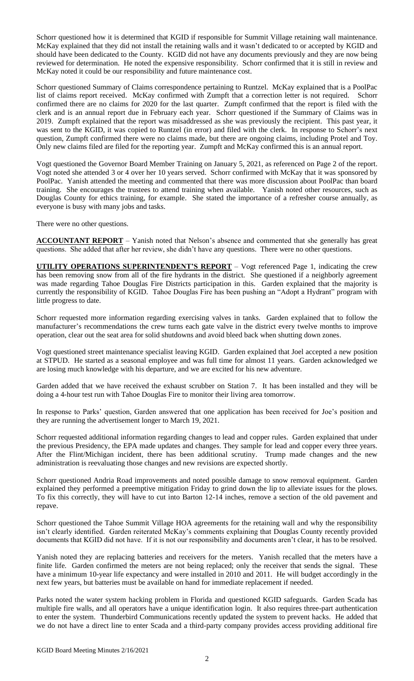Schorr questioned how it is determined that KGID if responsible for Summit Village retaining wall maintenance. McKay explained that they did not install the retaining walls and it wasn't dedicated to or accepted by KGID and should have been dedicated to the County. KGID did not have any documents previously and they are now being reviewed for determination. He noted the expensive responsibility. Schorr confirmed that it is still in review and McKay noted it could be our responsibility and future maintenance cost.

Schorr questioned Summary of Claims correspondence pertaining to Runtzel. McKay explained that is a PoolPac list of claims report received. McKay confirmed with Zumpft that a correction letter is not required. Schorr confirmed there are no claims for 2020 for the last quarter. Zumpft confirmed that the report is filed with the clerk and is an annual report due in February each year. Schorr questioned if the Summary of Claims was in 2019. Zumpft explained that the report was misaddressed as she was previously the recipient. This past year, it was sent to the KGID, it was copied to Runtzel (in error) and filed with the clerk. In response to Schorr's next question, Zumpft confirmed there were no claims made, but there are ongoing claims, including Protel and Toy. Only new claims filed are filed for the reporting year. Zumpft and McKay confirmed this is an annual report.

Vogt questioned the Governor Board Member Training on January 5, 2021, as referenced on Page 2 of the report. Vogt noted she attended 3 or 4 over her 10 years served. Schorr confirmed with McKay that it was sponsored by PoolPac. Yanish attended the meeting and commented that there was more discussion about PoolPac than board training. She encourages the trustees to attend training when available. Yanish noted other resources, such as Douglas County for ethics training, for example. She stated the importance of a refresher course annually, as everyone is busy with many jobs and tasks.

There were no other questions.

**ACCOUNTANT REPORT** – Yanish noted that Nelson's absence and commented that she generally has great questions. She added that after her review, she didn't have any questions. There were no other questions.

**UTILITY OPERATIONS SUPERINTENDENT'S REPORT** – Vogt referenced Page 1, indicating the crew has been removing snow from all of the fire hydrants in the district. She questioned if a neighborly agreement was made regarding Tahoe Douglas Fire Districts participation in this. Garden explained that the majority is currently the responsibility of KGID. Tahoe Douglas Fire has been pushing an "Adopt a Hydrant" program with little progress to date.

Schorr requested more information regarding exercising valves in tanks. Garden explained that to follow the manufacturer's recommendations the crew turns each gate valve in the district every twelve months to improve operation, clear out the seat area for solid shutdowns and avoid bleed back when shutting down zones.

Vogt questioned street maintenance specialist leaving KGID. Garden explained that Joel accepted a new position at STPUD. He started as a seasonal employee and was full time for almost 11 years. Garden acknowledged we are losing much knowledge with his departure, and we are excited for his new adventure.

Garden added that we have received the exhaust scrubber on Station 7. It has been installed and they will be doing a 4-hour test run with Tahoe Douglas Fire to monitor their living area tomorrow.

In response to Parks' question, Garden answered that one application has been received for Joe's position and they are running the advertisement longer to March 19, 2021.

Schorr requested additional information regarding changes to lead and copper rules. Garden explained that under the previous Presidency, the EPA made updates and changes. They sample for lead and copper every three years. After the Flint/Michigan incident, there has been additional scrutiny. Trump made changes and the new administration is reevaluating those changes and new revisions are expected shortly.

Schorr questioned Andria Road improvements and noted possible damage to snow removal equipment. Garden explained they performed a preemptive mitigation Friday to grind down the lip to alleviate issues for the plows. To fix this correctly, they will have to cut into Barton 12-14 inches, remove a section of the old pavement and repave.

Schorr questioned the Tahoe Summit Village HOA agreements for the retaining wall and why the responsibility isn't clearly identified. Garden reiterated McKay's comments explaining that Douglas County recently provided documents that KGID did not have. If it is not our responsibility and documents aren't clear, it has to be resolved.

Yanish noted they are replacing batteries and receivers for the meters. Yanish recalled that the meters have a finite life. Garden confirmed the meters are not being replaced; only the receiver that sends the signal. These have a minimum 10-year life expectancy and were installed in 2010 and 2011. He will budget accordingly in the next few years, but batteries must be available on hand for immediate replacement if needed.

Parks noted the water system hacking problem in Florida and questioned KGID safeguards. Garden Scada has multiple fire walls, and all operators have a unique identification login. It also requires three-part authentication to enter the system. Thunderbird Communications recently updated the system to prevent hacks. He added that we do not have a direct line to enter Scada and a third-party company provides access providing additional fire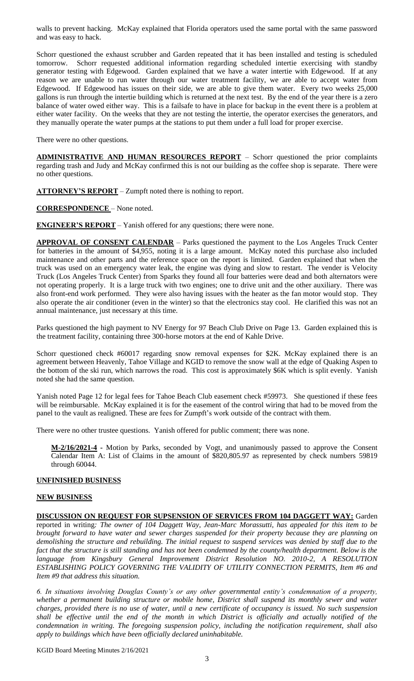walls to prevent hacking. McKay explained that Florida operators used the same portal with the same password and was easy to hack.

Schorr questioned the exhaust scrubber and Garden repeated that it has been installed and testing is scheduled tomorrow. Schorr requested additional information regarding scheduled intertie exercising with standby generator testing with Edgewood. Garden explained that we have a water intertie with Edgewood. If at any reason we are unable to run water through our water treatment facility, we are able to accept water from Edgewood. If Edgewood has issues on their side, we are able to give them water. Every two weeks 25,000 gallons is run through the intertie building which is returned at the next test. By the end of the year there is a zero balance of water owed either way. This is a failsafe to have in place for backup in the event there is a problem at either water facility. On the weeks that they are not testing the intertie, the operator exercises the generators, and they manually operate the water pumps at the stations to put them under a full load for proper exercise.

There were no other questions.

**ADMINISTRATIVE AND HUMAN RESOURCES REPORT** – Schorr questioned the prior complaints regarding trash and Judy and McKay confirmed this is not our building as the coffee shop is separate. There were no other questions.

**ATTORNEY'S REPORT** – Zumpft noted there is nothing to report.

**CORRESPONDENCE** – None noted.

**ENGINEER'S REPORT** – Yanish offered for any questions; there were none.

**APPROVAL OF CONSENT CALENDAR** – Parks questioned the payment to the Los Angeles Truck Center for batteries in the amount of \$4,955, noting it is a large amount. McKay noted this purchase also included maintenance and other parts and the reference space on the report is limited. Garden explained that when the truck was used on an emergency water leak, the engine was dying and slow to restart. The vender is Velocity Truck (Los Angeles Truck Center) from Sparks they found all four batteries were dead and both alternators were not operating properly. It is a large truck with two engines; one to drive unit and the other auxiliary. There was also front-end work performed. They were also having issues with the heater as the fan motor would stop. They also operate the air conditioner (even in the winter) so that the electronics stay cool. He clarified this was not an annual maintenance, just necessary at this time.

Parks questioned the high payment to NV Energy for 97 Beach Club Drive on Page 13. Garden explained this is the treatment facility, containing three 300-horse motors at the end of Kahle Drive.

Schorr questioned check #60017 regarding snow removal expenses for \$2K. McKay explained there is an agreement between Heavenly, Tahoe Village and KGID to remove the snow wall at the edge of Quaking Aspen to the bottom of the ski run, which narrows the road. This cost is approximately \$6K which is split evenly. Yanish noted she had the same question.

Yanish noted Page 12 for legal fees for Tahoe Beach Club easement check #59973. She questioned if these fees will be reimbursable. McKay explained it is for the easement of the control wiring that had to be moved from the panel to the vault as realigned. These are fees for Zumpft's work outside of the contract with them.

There were no other trustee questions. Yanish offered for public comment; there was none.

**M-2/16/2021-4 -** Motion by Parks, seconded by Vogt, and unanimously passed to approve the Consent Calendar Item A: List of Claims in the amount of \$820,805.97 as represented by check numbers 59819 through 60044.

#### **UNFINISHED BUSINESS**

### **NEW BUSINESS**

**DISCUSSION ON REQUEST FOR SUPSENSION OF SERVICES FROM 104 DAGGETT WAY:** Garden reported in writing*: The owner of 104 Daggett Way, Jean-Marc Morassutti, has appealed for this item to be brought forward to have water and sewer charges suspended for their property because they are planning on demolishing the structure and rebuilding. The initial request to suspend services was denied by staff due to the*  fact that the structure is still standing and has not been condemned by the county/health department. Below is the *language from Kingsbury General Improvement District Resolution NO. 2010-2, A RESOLUTION ESTABLISHING POLICY GOVERNING THE VALIDITY OF UTILITY CONNECTION PERMITS, Item #6 and Item #9 that address this situation.*

*6. In situations involving Douglas County's or any other governmental entity's condemnation of a property,*  whether a permanent building structure or mobile home, District shall suspend its monthly sewer and water *charges, provided there is no use of water, until a new certificate of occupancy is issued. No such suspension shall be effective until the end of the month in which District is officially and actually notified of the condemnation in writing. The foregoing suspension policy, including the notification requirement, shall also apply to buildings which have been officially declared uninhabitable.*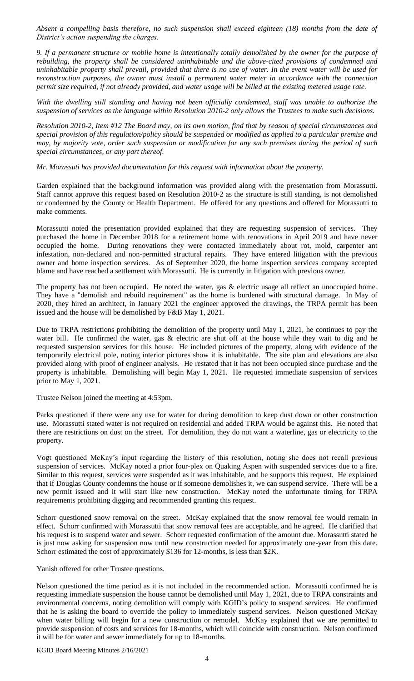*Absent a compelling basis therefore, no such suspension shall exceed eighteen (18) months from the date of District's action suspending the charges.*

*9. If a permanent structure or mobile home is intentionally totally demolished by the owner for the purpose of rebuilding, the property shall be considered uninhabitable and the above-cited provisions of condemned and uninhabitable property shall prevail, provided that there is no use of water. In the event water will be used for reconstruction purposes, the owner must install a permanent water meter in accordance with the connection permit size required, if not already provided, and water usage will be billed at the existing metered usage rate.*

*With the dwelling still standing and having not been officially condemned, staff was unable to authorize the suspension of services as the language within Resolution 2010-2 only allows the Trustees to make such decisions.*

*Resolution 2010-2, Item #12 The Board may, on its own motion, find that by reason of special circumstances and special provision of this regulation/policy should be suspended or modified as applied to a particular premise and may, by majority vote, order such suspension or modification for any such premises during the period of such special circumstances, or any part thereof.*

*Mr. Morassuti has provided documentation for this request with information about the property.* 

Garden explained that the background information was provided along with the presentation from Morassutti. Staff cannot approve this request based on Resolution 2010-2 as the structure is still standing, is not demolished or condemned by the County or Health Department. He offered for any questions and offered for Morassutti to make comments.

Morassutti noted the presentation provided explained that they are requesting suspension of services. They purchased the home in December 2018 for a retirement home with renovations in April 2019 and have never occupied the home. During renovations they were contacted immediately about rot, mold, carpenter ant infestation, non-declared and non-permitted structural repairs. They have entered litigation with the previous owner and home inspection services. As of September 2020, the home inspection services company accepted blame and have reached a settlement with Morassutti. He is currently in litigation with previous owner.

The property has not been occupied. He noted the water, gas & electric usage all reflect an unoccupied home. They have a "demolish and rebuild requirement" as the home is burdened with structural damage. In May of 2020, they hired an architect, in January 2021 the engineer approved the drawings, the TRPA permit has been issued and the house will be demolished by F&B May 1, 2021.

Due to TRPA restrictions prohibiting the demolition of the property until May 1, 2021, he continues to pay the water bill. He confirmed the water, gas & electric are shut off at the house while they wait to dig and he requested suspension services for this house. He included pictures of the property, along with evidence of the temporarily electrical pole, noting interior pictures show it is inhabitable. The site plan and elevations are also provided along with proof of engineer analysis. He restated that it has not been occupied since purchase and the property is inhabitable. Demolishing will begin May 1, 2021. He requested immediate suspension of services prior to May 1, 2021.

Trustee Nelson joined the meeting at 4:53pm.

Parks questioned if there were any use for water for during demolition to keep dust down or other construction use. Morassutti stated water is not required on residential and added TRPA would be against this. He noted that there are restrictions on dust on the street. For demolition, they do not want a waterline, gas or electricity to the property.

Vogt questioned McKay's input regarding the history of this resolution, noting she does not recall previous suspension of services. McKay noted a prior four-plex on Quaking Aspen with suspended services due to a fire. Similar to this request, services were suspended as it was inhabitable, and he supports this request. He explained that if Douglas County condemns the house or if someone demolishes it, we can suspend service. There will be a new permit issued and it will start like new construction. McKay noted the unfortunate timing for TRPA requirements prohibiting digging and recommended granting this request.

Schorr questioned snow removal on the street. McKay explained that the snow removal fee would remain in effect. Schorr confirmed with Morassutti that snow removal fees are acceptable, and he agreed. He clarified that his request is to suspend water and sewer. Schorr requested confirmation of the amount due. Morassutti stated he is just now asking for suspension now until new construction needed for approximately one-year from this date. Schorr estimated the cost of approximately \$136 for 12-months, is less than \$2K.

Yanish offered for other Trustee questions.

Nelson questioned the time period as it is not included in the recommended action. Morassutti confirmed he is requesting immediate suspension the house cannot be demolished until May 1, 2021, due to TRPA constraints and environmental concerns, noting demolition will comply with KGID's policy to suspend services. He confirmed that he is asking the board to override the policy to immediately suspend services. Nelson questioned McKay when water billing will begin for a new construction or remodel. McKay explained that we are permitted to provide suspension of costs and services for 18-months, which will coincide with construction. Nelson confirmed it will be for water and sewer immediately for up to 18-months.

KGID Board Meeting Minutes 2/16/2021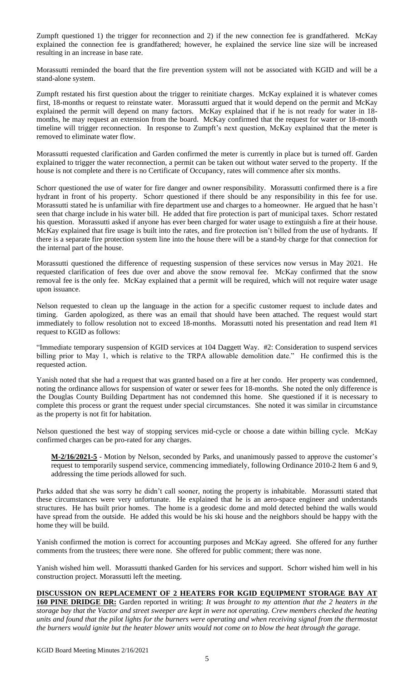Zumpft questioned 1) the trigger for reconnection and 2) if the new connection fee is grandfathered. McKay explained the connection fee is grandfathered; however, he explained the service line size will be increased resulting in an increase in base rate.

Morassutti reminded the board that the fire prevention system will not be associated with KGID and will be a stand-alone system.

Zumpft restated his first question about the trigger to reinitiate charges. McKay explained it is whatever comes first, 18-months or request to reinstate water. Morassutti argued that it would depend on the permit and McKay explained the permit will depend on many factors. McKay explained that if he is not ready for water in 18 months, he may request an extension from the board. McKay confirmed that the request for water or 18-month timeline will trigger reconnection. In response to Zumpft's next question, McKay explained that the meter is removed to eliminate water flow.

Morassutti requested clarification and Garden confirmed the meter is currently in place but is turned off. Garden explained to trigger the water reconnection, a permit can be taken out without water served to the property. If the house is not complete and there is no Certificate of Occupancy, rates will commence after six months.

Schorr questioned the use of water for fire danger and owner responsibility. Morassutti confirmed there is a fire hydrant in front of his property. Schorr questioned if there should be any responsibility in this fee for use. Morassutti stated he is unfamiliar with fire department use and charges to a homeowner. He argued that he hasn't seen that charge include in his water bill. He added that fire protection is part of municipal taxes. Schorr restated his question. Morassutti asked if anyone has ever been charged for water usage to extinguish a fire at their house. McKay explained that fire usage is built into the rates, and fire protection isn't billed from the use of hydrants. If there is a separate fire protection system line into the house there will be a stand-by charge for that connection for the internal part of the house.

Morassutti questioned the difference of requesting suspension of these services now versus in May 2021. He requested clarification of fees due over and above the snow removal fee. McKay confirmed that the snow removal fee is the only fee. McKay explained that a permit will be required, which will not require water usage upon issuance.

Nelson requested to clean up the language in the action for a specific customer request to include dates and timing. Garden apologized, as there was an email that should have been attached. The request would start immediately to follow resolution not to exceed 18-months. Morassutti noted his presentation and read Item #1 request to KGID as follows:

"Immediate temporary suspension of KGID services at 104 Daggett Way. #2: Consideration to suspend services billing prior to May 1, which is relative to the TRPA allowable demolition date." He confirmed this is the requested action.

Yanish noted that she had a request that was granted based on a fire at her condo. Her property was condemned, noting the ordinance allows for suspension of water or sewer fees for 18-months. She noted the only difference is the Douglas County Building Department has not condemned this home. She questioned if it is necessary to complete this process or grant the request under special circumstances. She noted it was similar in circumstance as the property is not fit for habitation.

Nelson questioned the best way of stopping services mid-cycle or choose a date within billing cycle. McKay confirmed charges can be pro-rated for any charges.

**M-2/16/2021-5** - Motion by Nelson, seconded by Parks, and unanimously passed to approve the customer's request to temporarily suspend service, commencing immediately, following Ordinance 2010-2 Item 6 and 9, addressing the time periods allowed for such.

Parks added that she was sorry he didn't call sooner, noting the property is inhabitable. Morassutti stated that these circumstances were very unfortunate. He explained that he is an aero-space engineer and understands structures. He has built prior homes. The home is a geodesic dome and mold detected behind the walls would have spread from the outside. He added this would be his ski house and the neighbors should be happy with the home they will be build.

Yanish confirmed the motion is correct for accounting purposes and McKay agreed. She offered for any further comments from the trustees; there were none. She offered for public comment; there was none.

Yanish wished him well. Morassutti thanked Garden for his services and support. Schorr wished him well in his construction project. Morassutti left the meeting.

# **DISCUSSION ON REPLACEMENT OF 2 HEATERS FOR KGID EQUIPMENT STORAGE BAY AT**

**160 PINE DRIDGE DR:** Garden reported in writing: *It was brought to my attention that the 2 heaters in the storage bay that the Vactor and street sweeper are kept in were not operating. Crew members checked the heating units and found that the pilot lights for the burners were operating and when receiving signal from the thermostat the burners would ignite but the heater blower units would not come on to blow the heat through the garage.*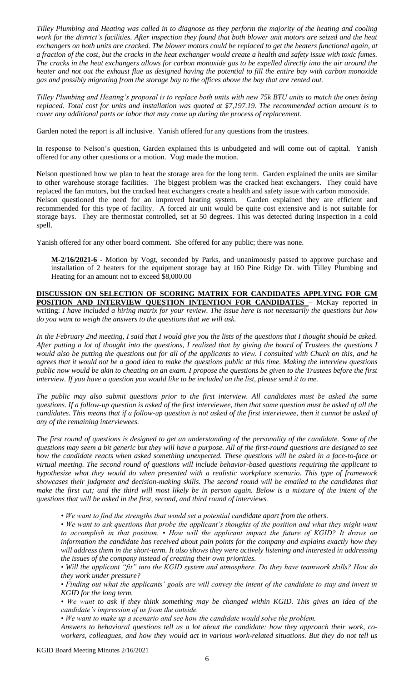*Tilley Plumbing and Heating was called in to diagnose as they perform the majority of the heating and cooling work for the district's facilities. After inspection they found that both blower unit motors are seized and the heat exchangers on both units are cracked. The blower motors could be replaced to get the heaters functional again, at a fraction of the cost, but the cracks in the heat exchanger would create a health and safety issue with toxic fumes. The cracks in the heat exchangers allows for carbon monoxide gas to be expelled directly into the air around the heater and not out the exhaust flue as designed having the potential to fill the entire bay with carbon monoxide gas and possibly migrating from the storage bay to the offices above the bay that are rented out.*

*Tilley Plumbing and Heating's proposal is to replace both units with new 75k BTU units to match the ones being replaced. Total cost for units and installation was quoted at \$7,197.19. The recommended action amount is to cover any additional parts or labor that may come up during the process of replacement.*

Garden noted the report is all inclusive. Yanish offered for any questions from the trustees.

In response to Nelson's question, Garden explained this is unbudgeted and will come out of capital. Yanish offered for any other questions or a motion. Vogt made the motion.

Nelson questioned how we plan to heat the storage area for the long term. Garden explained the units are similar to other warehouse storage facilities. The biggest problem was the cracked heat exchangers. They could have replaced the fan motors, but the cracked heat exchangers create a health and safety issue with carbon monoxide. Nelson questioned the need for an improved heating system. Garden explained they are efficient and recommended for this type of facility. A forced air unit would be quite cost extensive and is not suitable for storage bays. They are thermostat controlled, set at 50 degrees. This was detected during inspection in a cold spell.

Yanish offered for any other board comment. She offered for any public; there was none.

**M-2/16/2021-6** - Motion by Vogt, seconded by Parks, and unanimously passed to approve purchase and installation of 2 heaters for the equipment storage bay at 160 Pine Ridge Dr. with Tilley Plumbing and Heating for an amount not to exceed \$8,000.00

**DISCUSSION ON SELECTION OF SCORING MATRIX FOR CANDIDATES APPLYING FOR GM POSITION AND INTERVIEW QUESTION INTENTION FOR CANDIDATES** - McKay reported in writing: *I have included a hiring matrix for your review. The issue here is not necessarily the questions but how do you want to weigh the answers to the questions that we will ask.*

*In the February 2nd meeting, I said that I would give you the lists of the questions that I thought should be asked. After putting a lot of thought into the questions, I realized that by giving the board of Trustees the questions I would also be putting the questions out for all of the applicants to view. I consulted with Chuck on this, and he agrees that it would not be a good idea to make the questions public at this time. Making the interview questions public now would be akin to cheating on an exam. I propose the questions be given to the Trustees before the first interview. If you have a question you would like to be included on the list, please send it to me.*

*The public may also submit questions prior to the first interview. All candidates must be asked the same questions. If a follow-up question is asked of the first interviewee, then that same question must be asked of all the candidates. This means that if a follow-up question is not asked of the first interviewee, then it cannot be asked of any of the remaining interviewees.*

*The first round of questions is designed to get an understanding of the personality of the candidate. Some of the questions may seem a bit generic but they will have a purpose. All of the first-round questions are designed to see how the candidate reacts when asked something unexpected. These questions will be asked in a face-to-face or virtual meeting. The second round of questions will include behavior-based questions requiring the applicant to hypothesize what they would do when presented with a realistic workplace scenario. This type of framework showcases their judgment and decision-making skills. The second round will be emailed to the candidates that make the first cut; and the third will most likely be in person again. Below is a mixture of the intent of the questions that will be asked in the first, second, and third round of interviews.*

*• We want to find the strengths that would set a potential candidate apart from the others.*

*• We want to ask questions that probe the applicant's thoughts of the position and what they might want to accomplish in that position. • How will the applicant impact the future of KGID? It draws on information the candidate has received about pain points for the company and explains exactly how they will address them in the short-term. It also shows they were actively listening and interested in addressing the issues of the company instead of creating their own priorities.*

*• Will the applicant "fit" into the KGID system and atmosphere. Do they have teamwork skills? How do they work under pressure?*

*• Finding out what the applicants' goals are will convey the intent of the candidate to stay and invest in KGID for the long term.*

*• We want to ask if they think something may be changed within KGID. This gives an idea of the candidate's impression of us from the outside.*

*• We want to make up a scenario and see how the candidate would solve the problem.*

*Answers to behavioral questions tell us a lot about the candidate: how they approach their work, coworkers, colleagues, and how they would act in various work-related situations. But they do not tell us*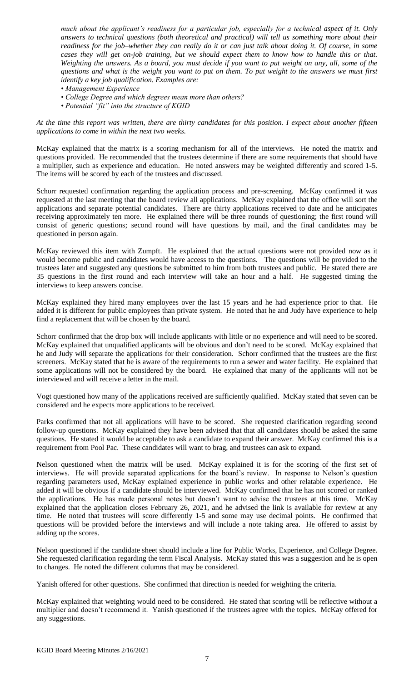*much about the applicant's readiness for a particular job, especially for a technical aspect of it. Only answers to technical questions (both theoretical and practical) will tell us something more about their readiness for the job–whether they can really do it or can just talk about doing it. Of course, in some cases they will get on-job training, but we should expect them to know how to handle this or that. Weighting the answers. As a board, you must decide if you want to put weight on any, all, some of the questions and what is the weight you want to put on them. To put weight to the answers we must first identify a key job qualification. Examples are:*

- *Management Experience*
- *College Degree and which degrees mean more than others?*
- *Potential "fit" into the structure of KGID*

*At the time this report was written, there are thirty candidates for this position. I expect about another fifteen applications to come in within the next two weeks.*

McKay explained that the matrix is a scoring mechanism for all of the interviews. He noted the matrix and questions provided. He recommended that the trustees determine if there are some requirements that should have a multiplier, such as experience and education. He noted answers may be weighted differently and scored 1-5. The items will be scored by each of the trustees and discussed.

Schorr requested confirmation regarding the application process and pre-screening. McKay confirmed it was requested at the last meeting that the board review all applications. McKay explained that the office will sort the applications and separate potential candidates. There are thirty applications received to date and he anticipates receiving approximately ten more. He explained there will be three rounds of questioning; the first round will consist of generic questions; second round will have questions by mail, and the final candidates may be questioned in person again.

McKay reviewed this item with Zumpft. He explained that the actual questions were not provided now as it would become public and candidates would have access to the questions. The questions will be provided to the trustees later and suggested any questions be submitted to him from both trustees and public. He stated there are 35 questions in the first round and each interview will take an hour and a half. He suggested timing the interviews to keep answers concise.

McKay explained they hired many employees over the last 15 years and he had experience prior to that. He added it is different for public employees than private system. He noted that he and Judy have experience to help find a replacement that will be chosen by the board.

Schorr confirmed that the drop box will include applicants with little or no experience and will need to be scored. McKay explained that unqualified applicants will be obvious and don't need to be scored. McKay explained that he and Judy will separate the applications for their consideration. Schorr confirmed that the trustees are the first screeners. McKay stated that he is aware of the requirements to run a sewer and water facility. He explained that some applications will not be considered by the board. He explained that many of the applicants will not be interviewed and will receive a letter in the mail.

Vogt questioned how many of the applications received are sufficiently qualified. McKay stated that seven can be considered and he expects more applications to be received.

Parks confirmed that not all applications will have to be scored. She requested clarification regarding second follow-up questions. McKay explained they have been advised that that all candidates should be asked the same questions. He stated it would be acceptable to ask a candidate to expand their answer. McKay confirmed this is a requirement from Pool Pac. These candidates will want to brag, and trustees can ask to expand.

Nelson questioned when the matrix will be used. McKay explained it is for the scoring of the first set of interviews. He will provide separated applications for the board's review. In response to Nelson's question regarding parameters used, McKay explained experience in public works and other relatable experience. He added it will be obvious if a candidate should be interviewed. McKay confirmed that he has not scored or ranked the applications. He has made personal notes but doesn't want to advise the trustees at this time. McKay explained that the application closes February 26, 2021, and he advised the link is available for review at any time. He noted that trustees will score differently 1-5 and some may use decimal points. He confirmed that questions will be provided before the interviews and will include a note taking area. He offered to assist by adding up the scores.

Nelson questioned if the candidate sheet should include a line for Public Works, Experience, and College Degree. She requested clarification regarding the term Fiscal Analysis. McKay stated this was a suggestion and he is open to changes. He noted the different columns that may be considered.

Yanish offered for other questions. She confirmed that direction is needed for weighting the criteria.

McKay explained that weighting would need to be considered. He stated that scoring will be reflective without a multiplier and doesn't recommend it. Yanish questioned if the trustees agree with the topics. McKay offered for any suggestions.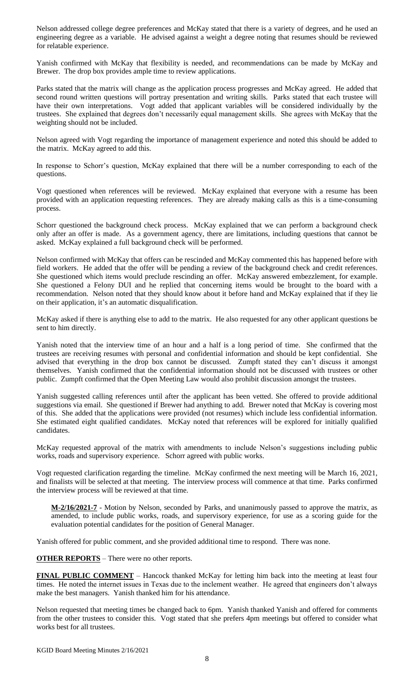Nelson addressed college degree preferences and McKay stated that there is a variety of degrees, and he used an engineering degree as a variable. He advised against a weight a degree noting that resumes should be reviewed for relatable experience.

Yanish confirmed with McKay that flexibility is needed, and recommendations can be made by McKay and Brewer. The drop box provides ample time to review applications.

Parks stated that the matrix will change as the application process progresses and McKay agreed. He added that second round written questions will portray presentation and writing skills. Parks stated that each trustee will have their own interpretations. Vogt added that applicant variables will be considered individually by the trustees. She explained that degrees don't necessarily equal management skills. She agrees with McKay that the weighting should not be included.

Nelson agreed with Vogt regarding the importance of management experience and noted this should be added to the matrix. McKay agreed to add this.

In response to Schorr's question, McKay explained that there will be a number corresponding to each of the questions.

Vogt questioned when references will be reviewed. McKay explained that everyone with a resume has been provided with an application requesting references. They are already making calls as this is a time-consuming process.

Schorr questioned the background check process. McKay explained that we can perform a background check only after an offer is made. As a government agency, there are limitations, including questions that cannot be asked. McKay explained a full background check will be performed.

Nelson confirmed with McKay that offers can be rescinded and McKay commented this has happened before with field workers. He added that the offer will be pending a review of the background check and credit references. She questioned which items would preclude rescinding an offer. McKay answered embezzlement, for example. She questioned a Felony DUI and he replied that concerning items would be brought to the board with a recommendation. Nelson noted that they should know about it before hand and McKay explained that if they lie on their application, it's an automatic disqualification.

McKay asked if there is anything else to add to the matrix. He also requested for any other applicant questions be sent to him directly.

Yanish noted that the interview time of an hour and a half is a long period of time. She confirmed that the trustees are receiving resumes with personal and confidential information and should be kept confidential. She advised that everything in the drop box cannot be discussed. Zumpft stated they can't discuss it amongst themselves. Yanish confirmed that the confidential information should not be discussed with trustees or other public. Zumpft confirmed that the Open Meeting Law would also prohibit discussion amongst the trustees.

Yanish suggested calling references until after the applicant has been vetted. She offered to provide additional suggestions via email. She questioned if Brewer had anything to add. Brewer noted that McKay is covering most of this. She added that the applications were provided (not resumes) which include less confidential information. She estimated eight qualified candidates. McKay noted that references will be explored for initially qualified candidates.

McKay requested approval of the matrix with amendments to include Nelson's suggestions including public works, roads and supervisory experience. Schorr agreed with public works.

Vogt requested clarification regarding the timeline. McKay confirmed the next meeting will be March 16, 2021, and finalists will be selected at that meeting. The interview process will commence at that time. Parks confirmed the interview process will be reviewed at that time.

**M-2/16/2021-7** - Motion by Nelson, seconded by Parks, and unanimously passed to approve the matrix, as amended, to include public works, roads, and supervisory experience, for use as a scoring guide for the evaluation potential candidates for the position of General Manager.

Yanish offered for public comment, and she provided additional time to respond. There was none.

**OTHER REPORTS** – There were no other reports.

**FINAL PUBLIC COMMENT** – Hancock thanked McKay for letting him back into the meeting at least four times. He noted the internet issues in Texas due to the inclement weather. He agreed that engineers don't always make the best managers. Yanish thanked him for his attendance.

Nelson requested that meeting times be changed back to 6pm. Yanish thanked Yanish and offered for comments from the other trustees to consider this. Vogt stated that she prefers 4pm meetings but offered to consider what works best for all trustees.